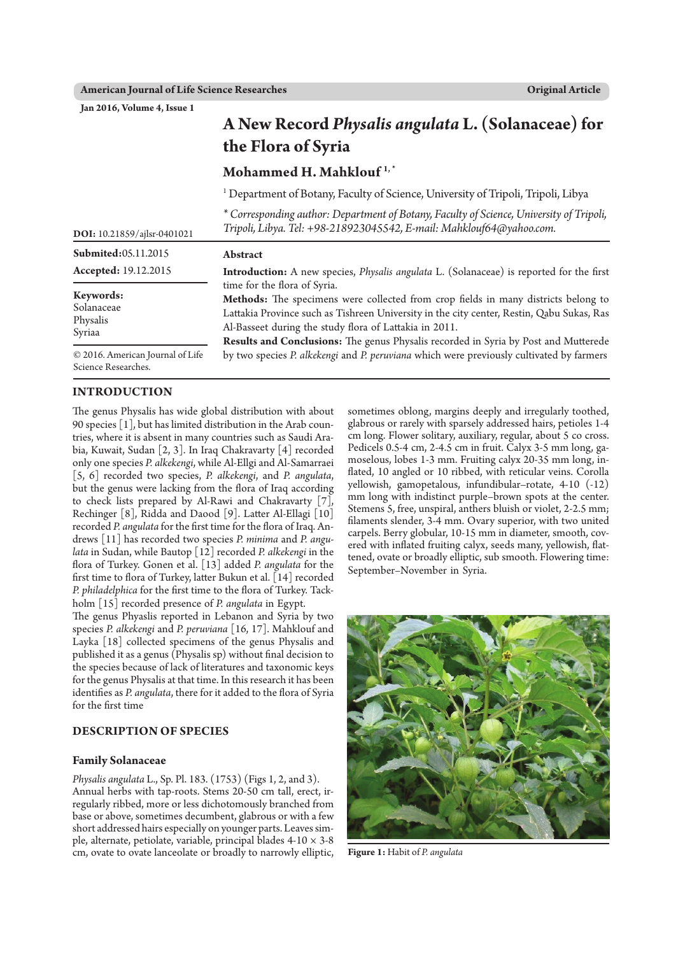**Original Article**

**Jan 2016, Volume 4, Issue 1** 

|                                                         | A New Record Physalis angulata L. (Solanaceae) for<br>the Flora of Syria                                                                                                                                                                                                                                                                                                                                                                                     |
|---------------------------------------------------------|--------------------------------------------------------------------------------------------------------------------------------------------------------------------------------------------------------------------------------------------------------------------------------------------------------------------------------------------------------------------------------------------------------------------------------------------------------------|
|                                                         | Mohammed H. Mahklouf <sup>1,*</sup>                                                                                                                                                                                                                                                                                                                                                                                                                          |
|                                                         | <sup>1</sup> Department of Botany, Faculty of Science, University of Tripoli, Tripoli, Libya                                                                                                                                                                                                                                                                                                                                                                 |
| DOI: 10.21859/ajlsr-0401021                             | * Corresponding author: Department of Botany, Faculty of Science, University of Tripoli,<br>Tripoli, Libya. Tel: +98-218923045542, E-mail: Mahklouf64@yahoo.com.                                                                                                                                                                                                                                                                                             |
| Submited:05.11.2015                                     | Abstract                                                                                                                                                                                                                                                                                                                                                                                                                                                     |
| <b>Accepted:</b> 19.12.2015                             | Introduction: A new species, Physalis angulata L. (Solanaceae) is reported for the first                                                                                                                                                                                                                                                                                                                                                                     |
| Keywords:<br>Solanaceae<br>Physalis<br>Syriaa           | time for the flora of Syria.<br>Methods: The specimens were collected from crop fields in many districts belong to<br>Lattakia Province such as Tishreen University in the city center, Restin, Qabu Sukas, Ras<br>Al-Basseet during the study flora of Lattakia in 2011.<br>Results and Conclusions: The genus Physalis recorded in Syria by Post and Mutterede<br>by two species P. alkekengi and P. peruviana which were previously cultivated by farmers |
| © 2016. American Journal of Life<br>Science Researches. |                                                                                                                                                                                                                                                                                                                                                                                                                                                              |

## **INTRODUCTION**

The genus Physalis has wide global distribution with about 90 species [1], but has limited distribution in the Arab countries, where it is absent in many countries such as Saudi Arabia, Kuwait, Sudan [2, 3]. In Iraq Chakravarty [4] recorded only one species *P. alkekengi*, while Al-Ellgi and Al-Samarraei [5, 6] recorded two species, *P. alkekengi*, and *P. angulata*, but the genus were lacking from the flora of Iraq according to check lists prepared by Al-Rawi and Chakravarty [7], Rechinger [8], Ridda and Daood [9]. Latter Al-Ellagi [10] recorded *P. angulata* for the first time for the flora of Iraq. Andrews [11] has recorded two species *P. minima* and *P. angulata* in Sudan, while Bautop [12] recorded *P. alkekengi* in the flora of Turkey. Gonen et al. [13] added *P. angulata* for the first time to flora of Turkey, latter Bukun et al. [14] recorded *P. philadelphica* for the first time to the flora of Turkey. Tackholm [15] recorded presence of *P. angulata* in Egypt.

The genus Phyaslis reported in Lebanon and Syria by two species *P. alkekengi* and *P. peruviana* [16, 17]. Mahklouf and Layka [18] collected specimens of the genus Physalis and published it as a genus (Physalis sp) without final decision to the species because of lack of literatures and taxonomic keys for the genus Physalis at that time. In this research it has been identifies as *P. angulata*, there for it added to the flora of Syria for the first time

## **Description of Species**

#### **Family Solanaceae**

*Physalis angulata* L., Sp. Pl. 183. (1753) (Figs 1, 2, and 3). Annual herbs with tap-roots. Stems 20-50 cm tall, erect, irregularly ribbed, more or less dichotomously branched from base or above, sometimes decumbent, glabrous or with a few short addressed hairs especially on younger parts. Leaves simple, alternate, petiolate, variable, principal blades  $4-10 \times 3-8$ cm, ovate to ovate lanceolate or broadly to narrowly elliptic, sometimes oblong, margins deeply and irregularly toothed, glabrous or rarely with sparsely addressed hairs, petioles 1-4 cm long. Flower solitary, auxiliary, regular, about 5 co cross. Pedicels 0.5-4 cm, 2-4.5 cm in fruit. Calyx 3-5 mm long, gamoselous, lobes 1-3 mm. Fruiting calyx 20-35 mm long, inflated, 10 angled or 10 ribbed, with reticular veins. Corolla yellowish, gamopetalous, infundibular–rotate, 4-10 (-12) mm long with indistinct purple–brown spots at the center. Stemens 5, free, unspiral, anthers bluish or violet, 2-2.5 mm; filaments slender, 3-4 mm. Ovary superior, with two united carpels. Berry globular, 10-15 mm in diameter, smooth, covered with inflated fruiting calyx, seeds many, yellowish, flattened, ovate or broadly elliptic, sub smooth. Flowering time: September–November in Syria.



**Figure 1:** Habit of *P. angulata*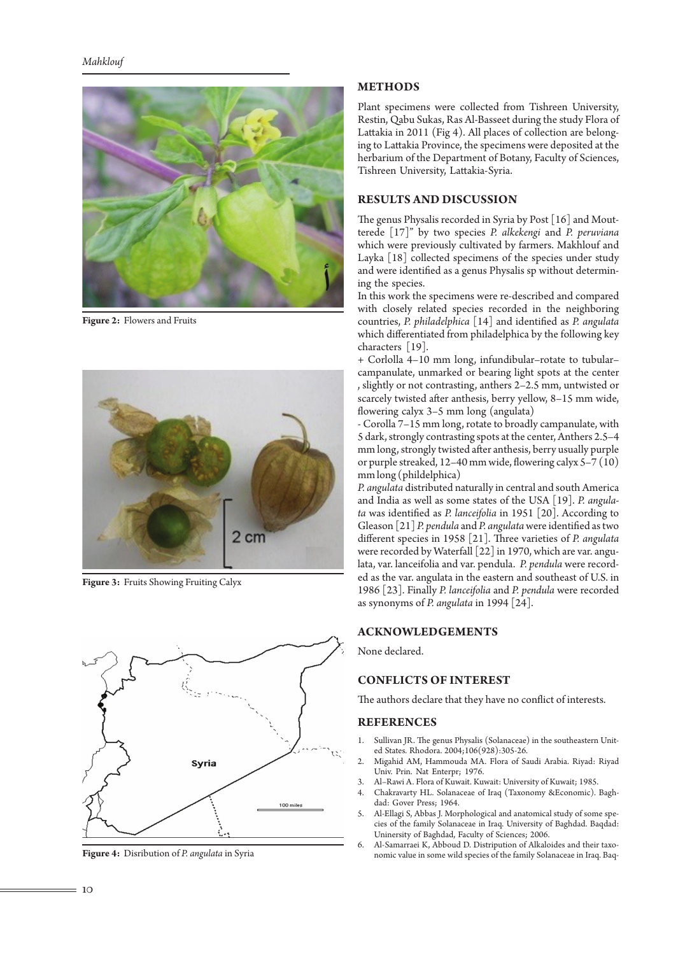

**Figure 2:** Flowers and Fruits



**Figure 3:** Fruits Showing Fruiting Calyx



**Figure 4:** Disribution of *P. angulata* in Syria

### **METHODS**

Plant specimens were collected from Tishreen University, Restin, Qabu Sukas, Ras Al-Basseet during the study Flora of Lattakia in 2011 (Fig 4). All places of collection are belonging to Lattakia Province, the specimens were deposited at the herbarium of the Department of Botany, Faculty of Sciences, Tishreen University, Lattakia-Syria.

# **RESULTS AND DISCUSSION**

The genus Physalis recorded in Syria by Post [16] and Moutterede [17]" by two species *P. alkekengi* and *P. peruviana* which were previously cultivated by farmers. Makhlouf and Layka [18] collected specimens of the species under study and were identified as a genus Physalis sp without determining the species.

In this work the specimens were re-described and compared with closely related species recorded in the neighboring countries, *P. philadelphica* [14] and identified as *P. angulata* which differentiated from philadelphica by the following key characters [19].

+ Corlolla 4–10 mm long, infundibular–rotate to tubular– campanulate, unmarked or bearing light spots at the center , slightly or not contrasting, anthers 2–2.5 mm, untwisted or scarcely twisted after anthesis, berry yellow, 8–15 mm wide, flowering calyx 3–5 mm long (angulata)

- Corolla 7–15 mm long, rotate to broadly campanulate, with 5 dark, strongly contrasting spots at the center, Anthers 2.5–4 mm long, strongly twisted after anthesis, berry usually purple or purple streaked, 12–40 mm wide, flowering calyx 5–7 (10) mm long (phildelphica)

*P. angulata* distributed naturally in central and south America and India as well as some states of the USA [19]. *P. angulata* was identified as *P. lanceifolia* in 1951 [20]. According to Gleason [21] *P. pendula* and *P. angulata* were identified as two different species in 1958 [21]. Three varieties of *P. angulata* were recorded by Waterfall [22] in 1970, which are var. angulata, var. lanceifolia and var. pendula. *P. pendula* were recorded as the var. angulata in the eastern and southeast of U.S. in 1986 [23]. Finally *P. lanceifolia* and *P. pendula* were recorded as synonyms of *P. angulata* in 1994 [24].

### **ACKNOWLEDGEMENTS**

None declared.

### **CONFLICTS OF INTEREST**

The authors declare that they have no conflict of interests.

#### **REFERENCES**

- 1. Sullivan JR. The genus Physalis (Solanaceae) in the southeastern United States. Rhodora. 2004;106(928):305-26.
- 2. Migahid AM, Hammouda MA. Flora of Saudi Arabia. Riyad: Riyad Univ. Prin. Nat Enterpr; 1976.
- 3. Al–Rawi A. Flora of Kuwait. Kuwait: University of Kuwait; 1985.
- 4. Chakravarty HL. Solanaceae of Iraq (Taxonomy &Economic). Baghdad: Gover Press; 1964.
- 5. Al-Ellagi S, Abbas J. Morphological and anatomical study of some species of the family Solanaceae in Iraq. University of Baghdad. Baqdad: Uninersity of Baghdad, Faculty of Sciences; 2006.
- 6. Al-Samarraei K, Abboud D. Distripution of Alkaloides and their taxonomic value in some wild species of the family Solanaceae in Iraq. Baq-